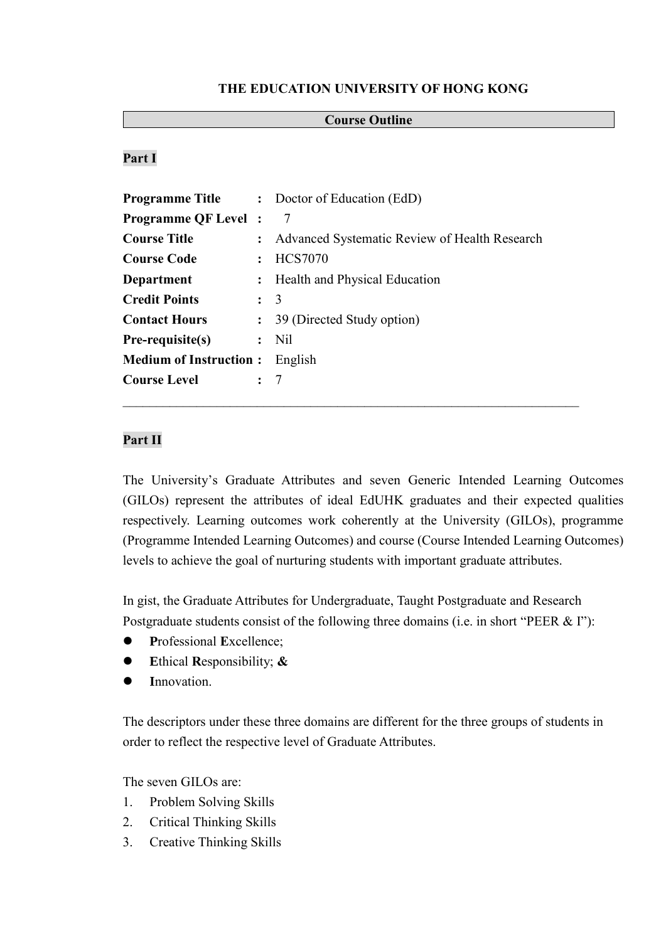#### **THE EDUCATION UNIVERSITY OF HONG KONG**

### **Course Outline**

## **Part I**

| <b>Programme Title</b>        |                | : Doctor of Education (EdD)                   |
|-------------------------------|----------------|-----------------------------------------------|
| <b>Programme QF Level</b> :   |                | -7                                            |
| <b>Course Title</b>           | $\ddot{\cdot}$ | Advanced Systematic Review of Health Research |
| <b>Course Code</b>            |                | : HCS7070                                     |
| Department                    |                | : Health and Physical Education               |
| <b>Credit Points</b>          | $\therefore$ 3 |                                               |
| <b>Contact Hours</b>          |                | : 39 (Directed Study option)                  |
| Pre-requisite(s)              |                | $:$ Nil                                       |
| <b>Medium of Instruction:</b> |                | English                                       |
| <b>Course Level</b>           | : 7            |                                               |
|                               |                |                                               |

# **Part II**

The University's Graduate Attributes and seven Generic Intended Learning Outcomes (GILOs) represent the attributes of ideal EdUHK graduates and their expected qualities respectively. Learning outcomes work coherently at the University (GILOs), programme (Programme Intended Learning Outcomes) and course (Course Intended Learning Outcomes) levels to achieve the goal of nurturing students with important graduate attributes.

In gist, the Graduate Attributes for Undergraduate, Taught Postgraduate and Research Postgraduate students consist of the following three domains (i.e. in short "PEER & I"):

- **P**rofessional **E**xcellence;
- **E**thical **R**esponsibility; **&**
- **I**nnovation.

The descriptors under these three domains are different for the three groups of students in order to reflect the respective level of Graduate Attributes.

The seven GILOs are:

- 1. Problem Solving Skills
- 2. Critical Thinking Skills
- 3. Creative Thinking Skills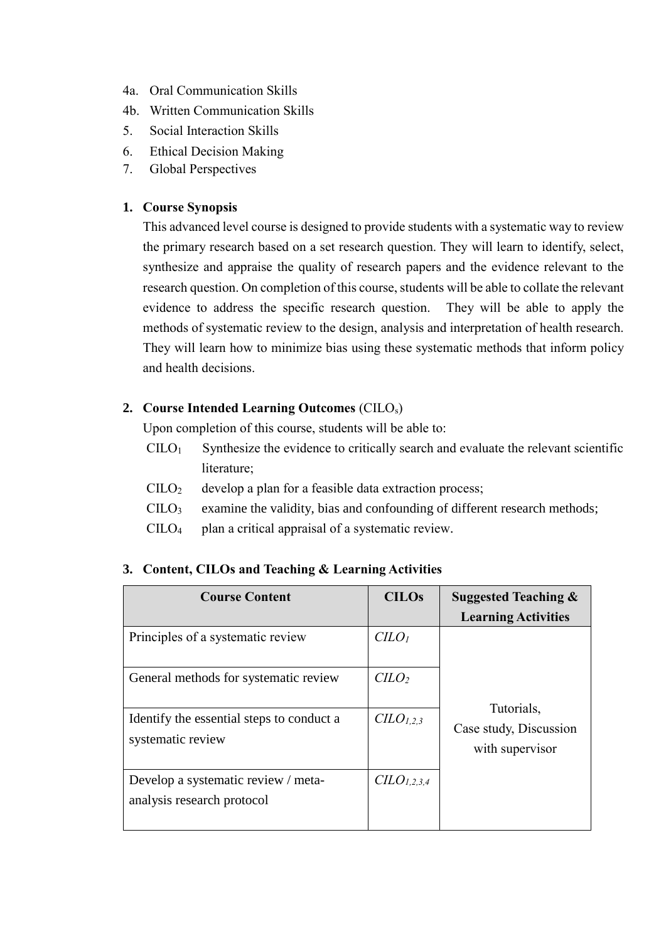- 4a. Oral Communication Skills
- 4b. Written Communication Skills
- 5. Social Interaction Skills
- 6. Ethical Decision Making
- 7. Global Perspectives

### **1. Course Synopsis**

This advanced level course is designed to provide students with a systematic way to review the primary research based on a set research question. They will learn to identify, select, synthesize and appraise the quality of research papers and the evidence relevant to the research question. On completion of this course, students will be able to collate the relevant evidence to address the specific research question. They will be able to apply the methods of systematic review to the design, analysis and interpretation of health research. They will learn how to minimize bias using these systematic methods that inform policy and health decisions.

## **2. Course Intended Learning Outcomes** (CILOs)

Upon completion of this course, students will be able to:

- $C I L O<sub>1</sub>$  Synthesize the evidence to critically search and evaluate the relevant scientific literature;
- $\text{CILO}_2$  develop a plan for a feasible data extraction process;
- $\text{CILO}_3$  examine the validity, bias and confounding of different research methods;
- $CILO<sub>4</sub>$  plan a critical appraisal of a systematic review.

| 3. Content, CILOs and Teaching & Learning Activities |  |
|------------------------------------------------------|--|
|                                                      |  |

| <b>Course Content</b>                                             | <b>CILOs</b>                        | <b>Suggested Teaching &amp;</b>                         |  |
|-------------------------------------------------------------------|-------------------------------------|---------------------------------------------------------|--|
|                                                                   |                                     | <b>Learning Activities</b>                              |  |
| Principles of a systematic review                                 | C <sub>LO<sub>l</sub></sub>         |                                                         |  |
| General methods for systematic review                             | $C$                                 | Tutorials,<br>Case study, Discussion<br>with supervisor |  |
| Identify the essential steps to conduct a<br>systematic review    | C <sub>L</sub> O <sub>L,2,3</sub>   |                                                         |  |
| Develop a systematic review / meta-<br>analysis research protocol | C <sub>L</sub> O <sub>L,2,3,4</sub> |                                                         |  |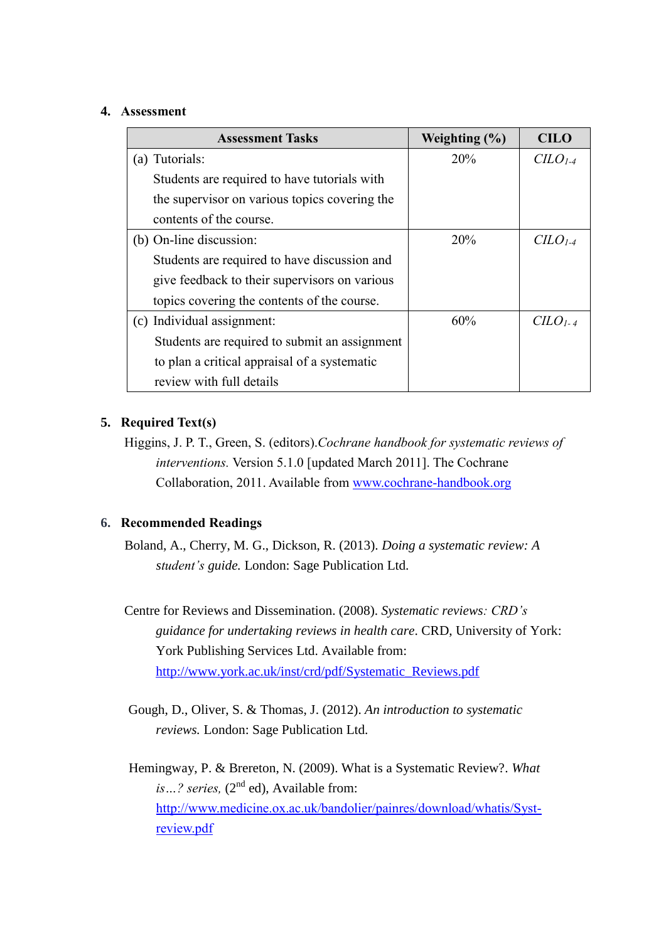#### **4. Assessment**

| <b>Assessment Tasks</b>                       | Weighting $(\% )$ | <b>CILO</b>          |
|-----------------------------------------------|-------------------|----------------------|
| (a) Tutorials:                                | 20%               | $CLO1-4$             |
| Students are required to have tutorials with  |                   |                      |
| the supervisor on various topics covering the |                   |                      |
| contents of the course.                       |                   |                      |
| (b) On-line discussion:                       | 20%               | $CLO$ <sub>1-4</sub> |
| Students are required to have discussion and  |                   |                      |
| give feedback to their supervisors on various |                   |                      |
| topics covering the contents of the course.   |                   |                      |
| (c) Individual assignment:                    | 60%               | $CLO$ <sub>1-4</sub> |
| Students are required to submit an assignment |                   |                      |
| to plan a critical appraisal of a systematic  |                   |                      |
| review with full details                      |                   |                      |

### **5. Required Text(s)**

Higgins, J. P. T., Green, S. (editors).*Cochrane handbook for systematic reviews of interventions.* Version 5.1.0 [updated March 2011]. The Cochrane Collaboration, 2011. Available from [www.cochrane-handbook.org](http://www.cochrane-handbook.org/)

#### **6. Recommended Readings**

- Boland, A., Cherry, M. G., Dickson, R. (2013). *Doing a systematic review: A student's guide.* London: Sage Publication Ltd.
- Centre for Reviews and Dissemination. (2008). *Systematic reviews: CRD's guidance for undertaking reviews in health care*. CRD, University of York: York Publishing Services Ltd. Available from: [http://www.york.ac.uk/inst/crd/pdf/Systematic\\_Reviews.pdf](http://www.york.ac.uk/inst/crd/pdf/Systematic_Reviews.pdf)
- Gough, D., Oliver, S. & Thomas, J. (2012). *An introduction to systematic reviews.* London: Sage Publication Ltd.

Hemingway, P. & Brereton, N. (2009). What is a Systematic Review?. *What*  is ...? series, (2<sup>nd</sup> ed), Available from: [http://www.medicine.ox.ac.uk/bandolier/painres/download/whatis/Syst](http://www.medicine.ox.ac.uk/bandolier/painres/download/whatis/Syst-review.pdf)[review.pdf](http://www.medicine.ox.ac.uk/bandolier/painres/download/whatis/Syst-review.pdf)